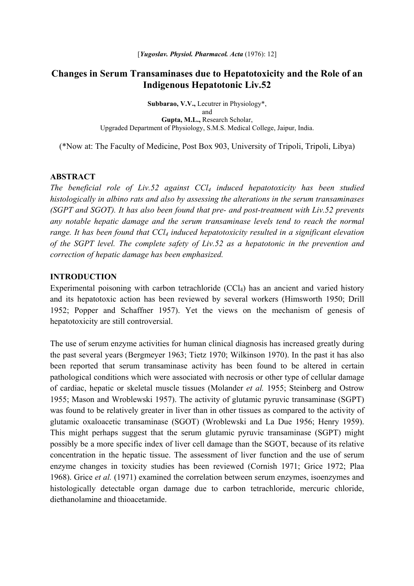# **Changes in Serum Transaminases due to Hepatotoxicity and the Role of an Indigenous Hepatotonic Liv.52**

**Subbarao, V.V.,** Lecutrer in Physiology\*, and **Gupta, M.L.,** Research Scholar, Upgraded Department of Physiology, S.M.S. Medical College, Jaipur, India.

(\*Now at: The Faculty of Medicine, Post Box 903, University of Tripoli, Tripoli, Libya)

#### **ABSTRACT**

*The beneficial role of Liv.52 against CCl4 induced hepatotoxicity has been studied histologically in albino rats and also by assessing the alterations in the serum transaminases (SGPT and SGOT). It has also been found that pre- and post-treatment with Liv.52 prevents any notable hepatic damage and the serum transaminase levels tend to reach the normal range. It has been found that CCl4 induced hepatotoxicity resulted in a significant elevation of the SGPT level. The complete safety of Liv.52 as a hepatotonic in the prevention and correction of hepatic damage has been emphasized.* 

#### **INTRODUCTION**

Experimental poisoning with carbon tetrachloride (CCl4) has an ancient and varied history and its hepatotoxic action has been reviewed by several workers (Himsworth 1950; Drill 1952; Popper and Schaffner 1957). Yet the views on the mechanism of genesis of hepatotoxicity are still controversial.

The use of serum enzyme activities for human clinical diagnosis has increased greatly during the past several years (Bergmeyer 1963; Tietz 1970; Wilkinson 1970). In the past it has also been reported that serum transaminase activity has been found to be altered in certain pathological conditions which were associated with necrosis or other type of cellular damage of cardiac, hepatic or skeletal muscle tissues (Molander *et al.* 1955; Steinberg and Ostrow 1955; Mason and Wroblewski 1957). The activity of glutamic pyruvic transaminase (SGPT) was found to be relatively greater in liver than in other tissues as compared to the activity of glutamic oxaloacetic transaminase (SGOT) (Wroblewski and La Due 1956; Henry 1959). This might perhaps suggest that the serum glutamic pyruvic transaminase (SGPT) might possibly be a more specific index of liver cell damage than the SGOT, because of its relative concentration in the hepatic tissue. The assessment of liver function and the use of serum enzyme changes in toxicity studies has been reviewed (Cornish 1971; Grice 1972; Plaa 1968). Grice *et al.* (1971) examined the correlation between serum enzymes, isoenzymes and histologically detectable organ damage due to carbon tetrachloride, mercuric chloride, diethanolamine and thioacetamide.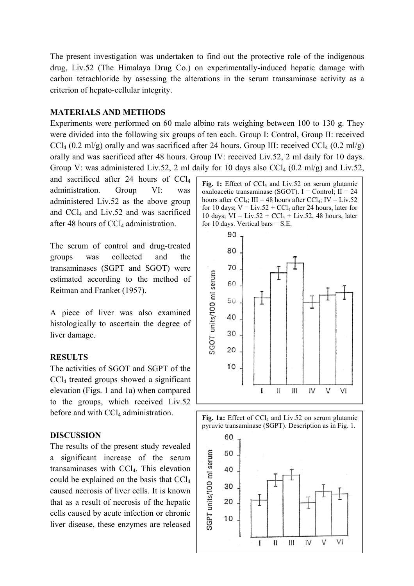The present investigation was undertaken to find out the protective role of the indigenous drug, Liv.52 (The Himalaya Drug Co.) on experimentally-induced hepatic damage with carbon tetrachloride by assessing the alterations in the serum transaminase activity as a criterion of hepato-cellular integrity.

# **MATERIALS AND METHODS**

Experiments were performed on 60 male albino rats weighing between 100 to 130 g. They were divided into the following six groups of ten each. Group I: Control, Group II: received  $CCl<sub>4</sub>$  (0.2 ml/g) orally and was sacrificed after 24 hours. Group III: received  $CCl<sub>4</sub>$  (0.2 ml/g) orally and was sacrificed after 48 hours. Group IV: received Liv.52, 2 ml daily for 10 days. Group V: was administered Liv.52, 2 ml daily for 10 days also  $CCl_4$  (0.2 ml/g) and Liv.52,

and sacrificed after 24 hours of CCl4 administration. Group VI: was administered Liv.52 as the above group and CCl4 and Liv.52 and was sacrificed after 48 hours of CCl<sub>4</sub> administration.

The serum of control and drug-treated groups was collected and the transaminases (SGPT and SGOT) were estimated according to the method of Reitman and Franket (1957).

A piece of liver was also examined histologically to ascertain the degree of liver damage.

## **RESULTS**

The activities of SGOT and SGPT of the CCl4 treated groups showed a significant elevation (Figs. 1 and 1a) when compared to the groups, which received Liv.52 before and with  $\text{CCl}_4$  administration.

## **DISCUSSION**

The results of the present study revealed a significant increase of the serum transaminases with CCl4. This elevation could be explained on the basis that CCl4 caused necrosis of liver cells. It is known that as a result of necrosis of the hepatic cells caused by acute infection or chronic liver disease, these enzymes are released

Fig. 1: Effect of CCl<sub>4</sub> and Liv.52 on serum glutamic oxaloacetic transaminase (SGOT).  $I =$  Control;  $II = 24$ hours after CCl<sub>4</sub>; III = 48 hours after CCl<sub>4</sub>; IV = Liv.52 for 10 days;  $V = Liv.52 + CCl<sub>4</sub>$  after 24 hours, later for 10 days;  $VI = Liv.52 + CCl_4 + Liv.52$ , 48 hours, later for 10 days. Vertical bars  $= S.E$ .



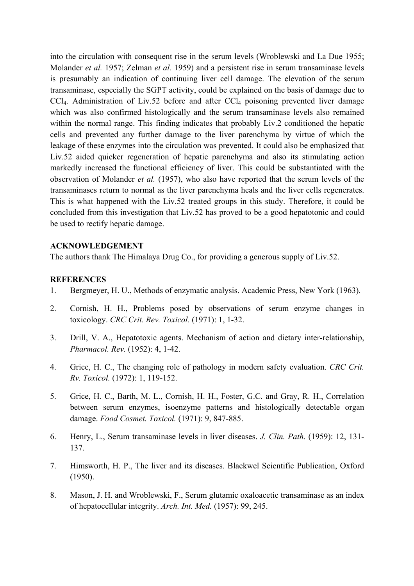into the circulation with consequent rise in the serum levels (Wroblewski and La Due 1955; Molander *et al.* 1957; Zelman *et al.* 1959) and a persistent rise in serum transaminase levels is presumably an indication of continuing liver cell damage. The elevation of the serum transaminase, especially the SGPT activity, could be explained on the basis of damage due to  $CCI<sub>4</sub>$ . Administration of Liv.52 before and after  $CCI<sub>4</sub>$  poisoning prevented liver damage which was also confirmed histologically and the serum transaminase levels also remained within the normal range. This finding indicates that probably Liv.2 conditioned the hepatic cells and prevented any further damage to the liver parenchyma by virtue of which the leakage of these enzymes into the circulation was prevented. It could also be emphasized that Liv.52 aided quicker regeneration of hepatic parenchyma and also its stimulating action markedly increased the functional efficiency of liver. This could be substantiated with the observation of Molander *et al.* (1957), who also have reported that the serum levels of the transaminases return to normal as the liver parenchyma heals and the liver cells regenerates. This is what happened with the Liv.52 treated groups in this study. Therefore, it could be concluded from this investigation that Liv.52 has proved to be a good hepatotonic and could be used to rectify hepatic damage.

## **ACKNOWLEDGEMENT**

The authors thank The Himalaya Drug Co., for providing a generous supply of Liv.52.

## **REFERENCES**

- 1. Bergmeyer, H. U., Methods of enzymatic analysis. Academic Press, New York (1963).
- 2. Cornish, H. H., Problems posed by observations of serum enzyme changes in toxicology. *CRC Crit. Rev. Toxicol.* (1971): 1, 1-32.
- 3. Drill, V. A., Hepatotoxic agents. Mechanism of action and dietary inter-relationship, *Pharmacol. Rev.* (1952): 4, 1-42.
- 4. Grice, H. C., The changing role of pathology in modern safety evaluation. *CRC Crit. Rv. Toxicol.* (1972): 1, 119-152.
- 5. Grice, H. C., Barth, M. L., Cornish, H. H., Foster, G.C. and Gray, R. H., Correlation between serum enzymes, isoenzyme patterns and histologically detectable organ damage. *Food Cosmet. Toxicol.* (1971): 9, 847-885.
- 6. Henry, L., Serum transaminase levels in liver diseases. *J. Clin. Path.* (1959): 12, 131- 137.
- 7. Himsworth, H. P., The liver and its diseases. Blackwel Scientific Publication, Oxford (1950).
- 8. Mason, J. H. and Wroblewski, F., Serum glutamic oxaloacetic transaminase as an index of hepatocellular integrity. *Arch. Int. Med.* (1957): 99, 245.